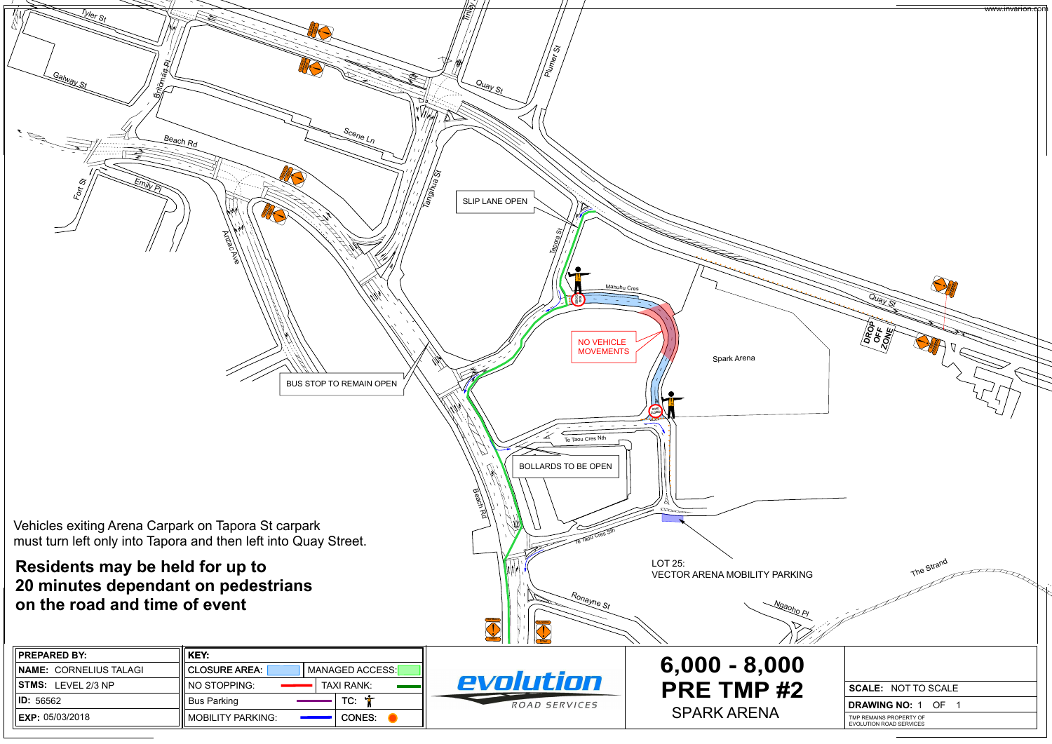